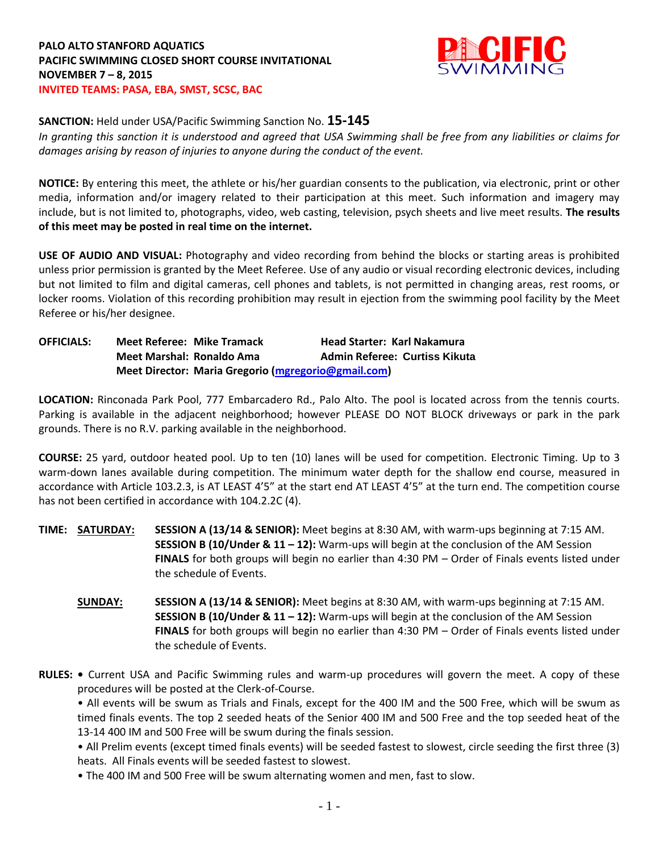## **PALO ALTO STANFORD AQUATICS PACIFIC SWIMMING CLOSED SHORT COURSE INVITATIONAL NOVEMBER 7 – 8, 2015 INVITED TEAMS: PASA, EBA, SMST, SCSC, BAC**



## **SANCTION:** Held under USA/Pacific Swimming Sanction No. **15-145**

*In granting this sanction it is understood and agreed that USA Swimming shall be free from any liabilities or claims for damages arising by reason of injuries to anyone during the conduct of the event.*

**NOTICE:** By entering this meet, the athlete or his/her guardian consents to the publication, via electronic, print or other media, information and/or imagery related to their participation at this meet. Such information and imagery may include, but is not limited to, photographs, video, web casting, television, psych sheets and live meet results. **The results of this meet may be posted in real time on the internet.**

**USE OF AUDIO AND VISUAL:** Photography and video recording from behind the blocks or starting areas is prohibited unless prior permission is granted by the Meet Referee. Use of any audio or visual recording electronic devices, including but not limited to film and digital cameras, cell phones and tablets, is not permitted in changing areas, rest rooms, or locker rooms. Violation of this recording prohibition may result in ejection from the swimming pool facility by the Meet Referee or his/her designee.

## **OFFICIALS: Meet Referee: Mike Tramack Head Starter: Karl Nakamura Meet Marshal: Ronaldo Ama Admin Referee: Curtiss Kikuta Meet Director: Maria Gregorio [\(mgregorio@gmail.com\)](mailto:mgregorio@gmail.com)**

**LOCATION:** Rinconada Park Pool, 777 Embarcadero Rd., Palo Alto. The pool is located across from the tennis courts. Parking is available in the adjacent neighborhood; however PLEASE DO NOT BLOCK driveways or park in the park grounds. There is no R.V. parking available in the neighborhood.

**COURSE:** 25 yard, outdoor heated pool. Up to ten (10) lanes will be used for competition. Electronic Timing. Up to 3 warm-down lanes available during competition. The minimum water depth for the shallow end course, measured in accordance with Article 103.2.3, is AT LEAST 4'5" at the start end AT LEAST 4'5" at the turn end. The competition course has not been certified in accordance with 104.2.2C (4).

- **TIME: SATURDAY: SESSION A (13/14 & SENIOR):** Meet begins at 8:30 AM, with warm-ups beginning at 7:15 AM. **SESSION B (10/Under & 11 – 12):** Warm-ups will begin at the conclusion of the AM Session **FINALS** for both groups will begin no earlier than 4:30 PM – Order of Finals events listed under the schedule of Events.
	- **SUNDAY: SESSION A (13/14 & SENIOR):** Meet begins at 8:30 AM, with warm-ups beginning at 7:15 AM. **SESSION B (10/Under & 11 – 12):** Warm-ups will begin at the conclusion of the AM Session **FINALS** for both groups will begin no earlier than 4:30 PM – Order of Finals events listed under the schedule of Events.
- **RULES:** Current USA and Pacific Swimming rules and warm-up procedures will govern the meet. A copy of these procedures will be posted at the Clerk-of-Course.

• All events will be swum as Trials and Finals, except for the 400 IM and the 500 Free, which will be swum as timed finals events. The top 2 seeded heats of the Senior 400 IM and 500 Free and the top seeded heat of the 13-14 400 IM and 500 Free will be swum during the finals session.

• All Prelim events (except timed finals events) will be seeded fastest to slowest, circle seeding the first three (3) heats. All Finals events will be seeded fastest to slowest.

• The 400 IM and 500 Free will be swum alternating women and men, fast to slow.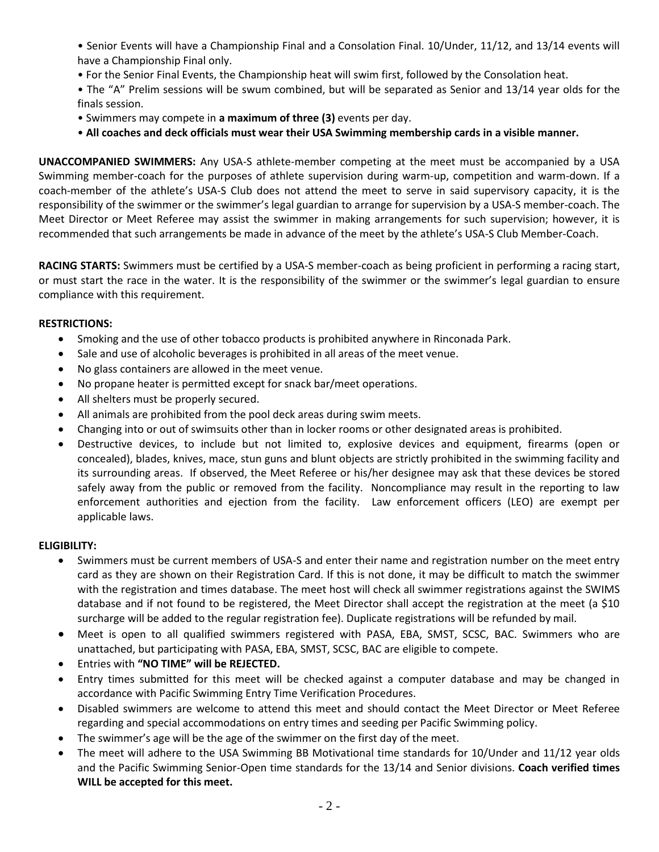• Senior Events will have a Championship Final and a Consolation Final. 10/Under, 11/12, and 13/14 events will have a Championship Final only.

- For the Senior Final Events, the Championship heat will swim first, followed by the Consolation heat.
- The "A" Prelim sessions will be swum combined, but will be separated as Senior and 13/14 year olds for the finals session.
- Swimmers may compete in **a maximum of three (3)** events per day.
- **All coaches and deck officials must wear their USA Swimming membership cards in a visible manner.**

**UNACCOMPANIED SWIMMERS:** Any USA-S athlete-member competing at the meet must be accompanied by a USA Swimming member-coach for the purposes of athlete supervision during warm-up, competition and warm-down. If a coach-member of the athlete's USA-S Club does not attend the meet to serve in said supervisory capacity, it is the responsibility of the swimmer or the swimmer's legal guardian to arrange for supervision by a USA-S member-coach. The Meet Director or Meet Referee may assist the swimmer in making arrangements for such supervision; however, it is recommended that such arrangements be made in advance of the meet by the athlete's USA-S Club Member-Coach.

**RACING STARTS:** Swimmers must be certified by a USA-S member-coach as being proficient in performing a racing start, or must start the race in the water. It is the responsibility of the swimmer or the swimmer's legal guardian to ensure compliance with this requirement.

## **RESTRICTIONS:**

- Smoking and the use of other tobacco products is prohibited anywhere in Rinconada Park.
- Sale and use of alcoholic beverages is prohibited in all areas of the meet venue.
- No glass containers are allowed in the meet venue.
- No propane heater is permitted except for snack bar/meet operations.
- All shelters must be properly secured.
- All animals are prohibited from the pool deck areas during swim meets.
- Changing into or out of swimsuits other than in locker rooms or other designated areas is prohibited.
- Destructive devices, to include but not limited to, explosive devices and equipment, firearms (open or concealed), blades, knives, mace, stun guns and blunt objects are strictly prohibited in the swimming facility and its surrounding areas. If observed, the Meet Referee or his/her designee may ask that these devices be stored safely away from the public or removed from the facility. Noncompliance may result in the reporting to law enforcement authorities and ejection from the facility. Law enforcement officers (LEO) are exempt per applicable laws.

#### **ELIGIBILITY:**

- Swimmers must be current members of USA-S and enter their name and registration number on the meet entry card as they are shown on their Registration Card. If this is not done, it may be difficult to match the swimmer with the registration and times database. The meet host will check all swimmer registrations against the SWIMS database and if not found to be registered, the Meet Director shall accept the registration at the meet (a \$10 surcharge will be added to the regular registration fee). Duplicate registrations will be refunded by mail.
- Meet is open to all qualified swimmers registered with PASA, EBA, SMST, SCSC, BAC. Swimmers who are unattached, but participating with PASA, EBA, SMST, SCSC, BAC are eligible to compete.
- Entries with **"NO TIME" will be REJECTED.**
- Entry times submitted for this meet will be checked against a computer database and may be changed in accordance with Pacific Swimming Entry Time Verification Procedures.
- Disabled swimmers are welcome to attend this meet and should contact the Meet Director or Meet Referee regarding and special accommodations on entry times and seeding per Pacific Swimming policy.
- The swimmer's age will be the age of the swimmer on the first day of the meet.
- The meet will adhere to the USA Swimming BB Motivational time standards for 10/Under and 11/12 year olds and the Pacific Swimming Senior-Open time standards for the 13/14 and Senior divisions. **Coach verified times WILL be accepted for this meet.**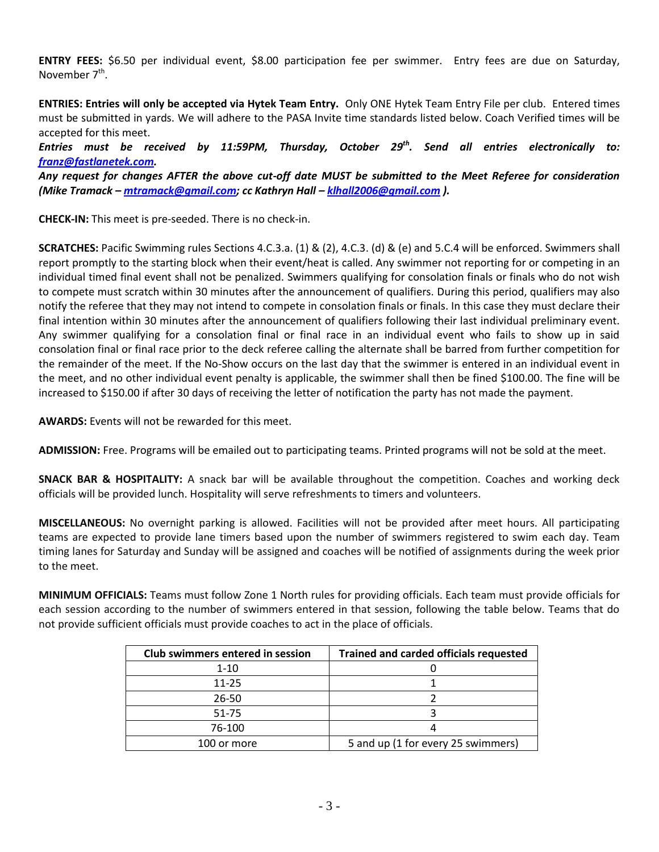**ENTRY FEES:** \$6.50 per individual event, \$8.00 participation fee per swimmer. Entry fees are due on Saturday, November 7<sup>th</sup>.

**ENTRIES: Entries will only be accepted via Hytek Team Entry.** Only ONE Hytek Team Entry File per club. Entered times must be submitted in yards. We will adhere to the PASA Invite time standards listed below. Coach Verified times will be accepted for this meet.

*Entries must be received by 11:59PM, Thursday, October 29th . Send all entries electronically to: [franz@fastlanetek.com.](mailto:franz@fastlanetek.com)* 

*Any request for changes AFTER the above cut-off date MUST be submitted to the Meet Referee for consideration (Mike Tramack – [mtramack@gmail.com;](mailto:mtramack@gmail.com) cc Kathryn Hall – [klhall2006@gmail.com](mailto:klhall2006@gmail.com) ).*

**CHECK-IN:** This meet is pre-seeded. There is no check-in.

**SCRATCHES:** Pacific Swimming rules Sections 4.C.3.a. (1) & (2), 4.C.3. (d) & (e) and 5.C.4 will be enforced. Swimmers shall report promptly to the starting block when their event/heat is called. Any swimmer not reporting for or competing in an individual timed final event shall not be penalized. Swimmers qualifying for consolation finals or finals who do not wish to compete must scratch within 30 minutes after the announcement of qualifiers. During this period, qualifiers may also notify the referee that they may not intend to compete in consolation finals or finals. In this case they must declare their final intention within 30 minutes after the announcement of qualifiers following their last individual preliminary event. Any swimmer qualifying for a consolation final or final race in an individual event who fails to show up in said consolation final or final race prior to the deck referee calling the alternate shall be barred from further competition for the remainder of the meet. If the No-Show occurs on the last day that the swimmer is entered in an individual event in the meet, and no other individual event penalty is applicable, the swimmer shall then be fined \$100.00. The fine will be increased to \$150.00 if after 30 days of receiving the letter of notification the party has not made the payment.

**AWARDS:** Events will not be rewarded for this meet.

**ADMISSION:** Free. Programs will be emailed out to participating teams. Printed programs will not be sold at the meet.

**SNACK BAR & HOSPITALITY:** A snack bar will be available throughout the competition. Coaches and working deck officials will be provided lunch. Hospitality will serve refreshments to timers and volunteers.

**MISCELLANEOUS:** No overnight parking is allowed. Facilities will not be provided after meet hours. All participating teams are expected to provide lane timers based upon the number of swimmers registered to swim each day. Team timing lanes for Saturday and Sunday will be assigned and coaches will be notified of assignments during the week prior to the meet.

**MINIMUM OFFICIALS:** Teams must follow Zone 1 North rules for providing officials. Each team must provide officials for each session according to the number of swimmers entered in that session, following the table below. Teams that do not provide sufficient officials must provide coaches to act in the place of officials.

| <b>Club swimmers entered in session</b> | <b>Trained and carded officials requested</b> |  |  |
|-----------------------------------------|-----------------------------------------------|--|--|
| $1 - 10$                                |                                               |  |  |
| $11 - 25$                               |                                               |  |  |
| 26-50                                   |                                               |  |  |
| 51-75                                   |                                               |  |  |
| 76-100                                  |                                               |  |  |
| 100 or more                             | 5 and up (1 for every 25 swimmers)            |  |  |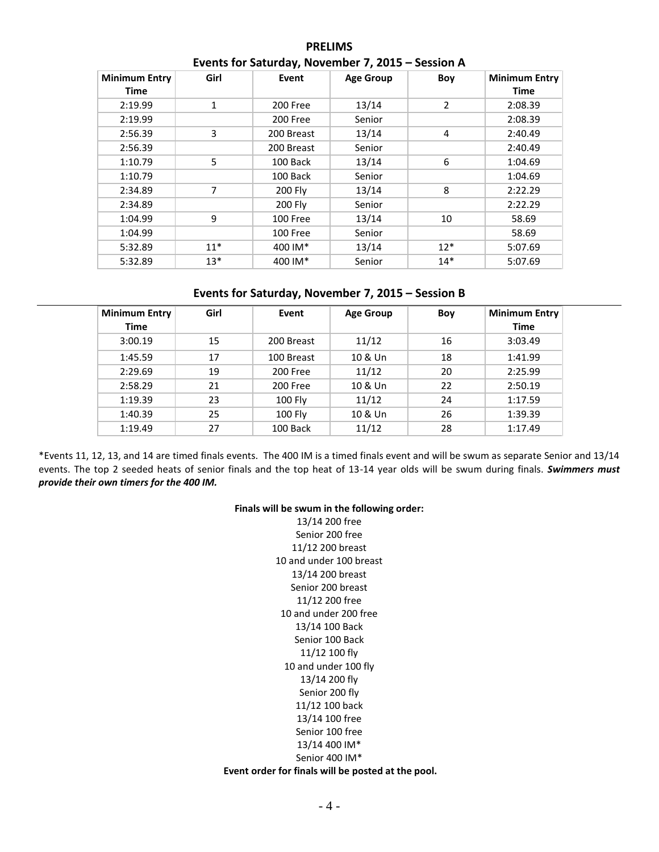| <b>Minimum Entry</b><br><b>Time</b> | Girl  | Event      | <b>Age Group</b> | Boy   | <b>Minimum Entry</b><br><b>Time</b> |
|-------------------------------------|-------|------------|------------------|-------|-------------------------------------|
| 2:19.99                             | 1     | 200 Free   | 13/14            | 2     | 2:08.39                             |
| 2:19.99                             |       | 200 Free   | Senior           |       | 2:08.39                             |
| 2:56.39                             | 3     | 200 Breast | 13/14            | 4     | 2:40.49                             |
| 2:56.39                             |       | 200 Breast | Senior           |       | 2:40.49                             |
| 1:10.79                             | 5     | 100 Back   | 13/14            | 6     | 1:04.69                             |
| 1:10.79                             |       | 100 Back   | Senior           |       | 1:04.69                             |
| 2:34.89                             | 7     | 200 Fly    | 13/14            | 8     | 2:22.29                             |
| 2:34.89                             |       | 200 Fly    | Senior           |       | 2:22.29                             |
| 1:04.99                             | 9     | 100 Free   | 13/14            | 10    | 58.69                               |
| 1:04.99                             |       | 100 Free   | Senior           |       | 58.69                               |
| 5:32.89                             | $11*$ | 400 IM*    | 13/14            | $12*$ | 5:07.69                             |
| 5:32.89                             | $13*$ | 400 IM*    | Senior           | $14*$ | 5:07.69                             |

## **PRELIMS Events for Saturday, November 7, 2015 – Session A**

## **Events for Saturday, November 7, 2015 – Session B**

| <b>Minimum Entry</b><br><b>Time</b> | Girl | Event          | Age Group | Boy | <b>Minimum Entry</b><br><b>Time</b> |
|-------------------------------------|------|----------------|-----------|-----|-------------------------------------|
| 3:00.19                             | 15   | 200 Breast     | 11/12     | 16  | 3:03.49                             |
| 1:45.59                             | 17   | 100 Breast     | 10 & Un   | 18  | 1:41.99                             |
| 2:29.69                             | 19   | 200 Free       | 11/12     | 20  | 2:25.99                             |
| 2:58.29                             | 21   | 200 Free       | 10 & Un   | 22  | 2:50.19                             |
| 1:19.39                             | 23   | <b>100 Fly</b> | 11/12     | 24  | 1:17.59                             |
| 1:40.39                             | 25   | <b>100 Fly</b> | 10 & Un   | 26  | 1:39.39                             |
| 1:19.49                             | 27   | 100 Back       | 11/12     | 28  | 1:17.49                             |

\*Events 11, 12, 13, and 14 are timed finals events. The 400 IM is a timed finals event and will be swum as separate Senior and 13/14 events. The top 2 seeded heats of senior finals and the top heat of 13-14 year olds will be swum during finals. *Swimmers must provide their own timers for the 400 IM.*

#### **Finals will be swum in the following order:**

13/14 200 free Senior 200 free 11/12 200 breast 10 and under 100 breast 13/14 200 breast Senior 200 breast 11/12 200 free 10 and under 200 free 13/14 100 Back Senior 100 Back 11/12 100 fly 10 and under 100 fly 13/14 200 fly Senior 200 fly 11/12 100 back 13/14 100 free Senior 100 free 13/14 400 IM\* Senior 400 IM\* **Event order for finals will be posted at the pool.**